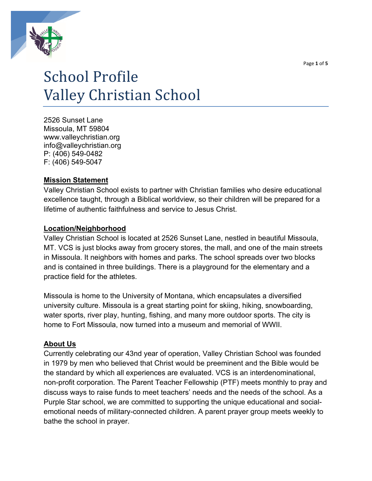



# School Profile Valley Christian School

2526 Sunset Lane Missoula, MT 59804 www.valleychristian.org info@valleychristian.org P: (406) 549-0482 F: (406) 549-5047

### **Mission Statement**

Valley Christian School exists to partner with Christian families who desire educational excellence taught, through a Biblical worldview, so their children will be prepared for a lifetime of authentic faithfulness and service to Jesus Christ.

### **Location/Neighborhood**

Valley Christian School is located at 2526 Sunset Lane, nestled in beautiful Missoula, MT. VCS is just blocks away from grocery stores, the mall, and one of the main streets in Missoula. It neighbors with homes and parks. The school spreads over two blocks and is contained in three buildings. There is a playground for the elementary and a practice field for the athletes.

Missoula is home to the University of Montana, which encapsulates a diversified university culture. Missoula is a great starting point for skiing, hiking, snowboarding, water sports, river play, hunting, fishing, and many more outdoor sports. The city is home to Fort Missoula, now turned into a museum and memorial of WWII.

### **About Us**

Currently celebrating our 43nd year of operation, Valley Christian School was founded in 1979 by men who believed that Christ would be preeminent and the Bible would be the standard by which all experiences are evaluated. VCS is an interdenominational, non-profit corporation. The Parent Teacher Fellowship (PTF) meets monthly to pray and discuss ways to raise funds to meet teachers' needs and the needs of the school. As a Purple Star school, we are committed to supporting the unique educational and socialemotional needs of military-connected children. A parent prayer group meets weekly to bathe the school in prayer.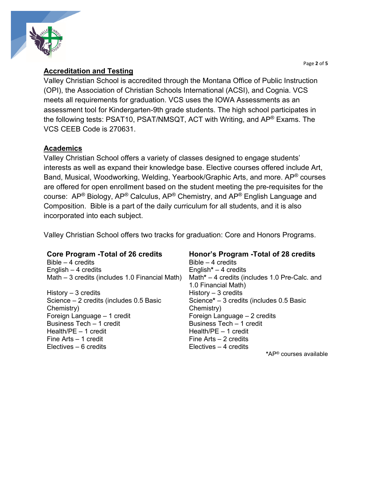Page **2** of **5**



### **Accreditation and Testing**

Valley Christian School is accredited through the Montana Office of Public Instruction (OPI), the Association of Christian Schools International (ACSI), and Cognia. VCS meets all requirements for graduation. VCS uses the IOWA Assessments as an assessment tool for Kindergarten-9th grade students. The high school participates in the following tests: PSAT10, PSAT/NMSQT, ACT with Writing, and AP® Exams. The VCS CEEB Code is 270631.

### **Academics**

Valley Christian School offers a variety of classes designed to engage students' interests as well as expand their knowledge base. Elective courses offered include Art, Band, Musical, Woodworking, Welding, Yearbook/Graphic Arts, and more. AP® courses are offered for open enrollment based on the student meeting the pre-requisites for the course:  $AP^{\circledR}$  Biology,  $AP^{\circledR}$  Calculus,  $AP^{\circledR}$  Chemistry, and  $AP^{\circledR}$  English Language and Composition. Bible is a part of the daily curriculum for all students, and it is also incorporated into each subject.

Valley Christian School offers two tracks for graduation: Core and Honors Programs.

Bible – 4 credits Bible – 4 credits English – 4 credits English**\*** – 4 credits Math – 3 credits (includes 1.0 Financial Math) Math**\*** – 4 credits (includes 1.0 Pre-Calc. and

History – 3 credits History – 3 credits Science – 2 credits (includes 0.5 Basic Chemistry) Foreign Language – 1 credit Foreign Language – 2 credits Business Tech – 1 credit Business Tech – 1 credit Health/PE – 1 credit Health/PE – 1 credit Fine Arts – 1 credit Fine Arts – 2 credits Electives – 6 credits Electives – 4 credits

## **Core Program -Total of 26 credits Honor's Program -Total of 28 credits**

1.0 Financial Math) Science**\*** – 3 credits (includes 0.5 Basic Chemistry) **\***AP® courses available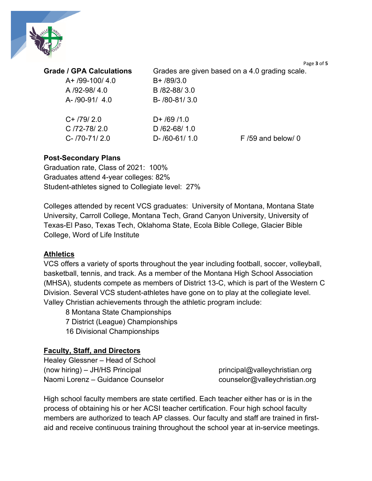

| <b>Grade / GPA Calculations</b> |  |  |  |
|---------------------------------|--|--|--|
|---------------------------------|--|--|--|

A+ /99-100/ 4.0 B+ /89/3.0 A /92-98/ 4.0 B /82-88/ 3.0 A- /90-91/ 4.0 B- /80-81/ 3.0

Grades are given based on a 4.0 grading scale.

| C+ /79/ 2.0    | $D+$ /69 /1.0       |                     |
|----------------|---------------------|---------------------|
| $C/72-78/2.0$  | D $/62 - 68/ 1.0$   |                     |
| C- /70-71/ 2.0 | $D - 160 - 611 1.0$ | $F/59$ and below/ 0 |

### **Post-Secondary Plans**

Graduation rate, Class of 2021: 100% Graduates attend 4-year colleges: 82% Student-athletes signed to Collegiate level: 27%

Colleges attended by recent VCS graduates: University of Montana, Montana State University, Carroll College, Montana Tech, Grand Canyon University, University of Texas-El Paso, Texas Tech, Oklahoma State, Ecola Bible College, Glacier Bible College, Word of Life Institute

### **Athletics**

VCS offers a variety of sports throughout the year including football, soccer, volleyball, basketball, tennis, and track. As a member of the Montana High School Association (MHSA), students compete as members of District 13-C, which is part of the Western C Division. Several VCS student-athletes have gone on to play at the collegiate level. Valley Christian achievements through the athletic program include:

8 Montana State Championships 7 District (League) Championships 16 Divisional Championships

### **Faculty, Staff, and Directors**

Healey Glessner – Head of School (now hiring) – JH/HS Principal principal principal@valleychristian.org Naomi Lorenz – Guidance Counselor counselor@valleychristian.org

High school faculty members are state certified. Each teacher either has or is in the process of obtaining his or her ACSI teacher certification. Four high school faculty members are authorized to teach AP classes. Our faculty and staff are trained in firstaid and receive continuous training throughout the school year at in-service meetings.

Page **3** of **5**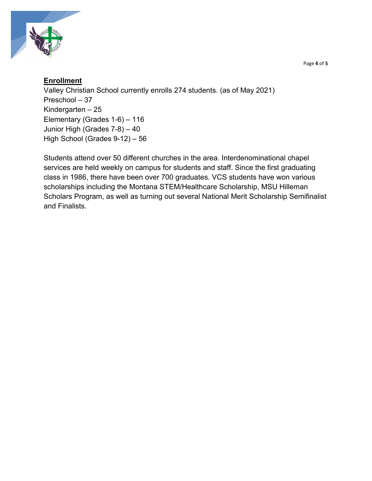

### **Enrollment**

Valley Christian School currently enrolls 274 students. (as of May 2021) Preschool – 37 Kindergarten – 25 Elementary (Grades 1-6) – 116 Junior High (Grades 7-8) – 40 High School (Grades 9-12) – 56

Students attend over 50 different churches in the area. Interdenominational chapel services are held weekly on campus for students and staff. Since the first graduating class in 1986, there have been over 700 graduates. VCS students have won various scholarships including the Montana STEM/Healthcare Scholarship, MSU Hilleman Scholars Program, as well as turning out several National Merit Scholarship Semifinalist and Finalists.

Page **4** of **5**